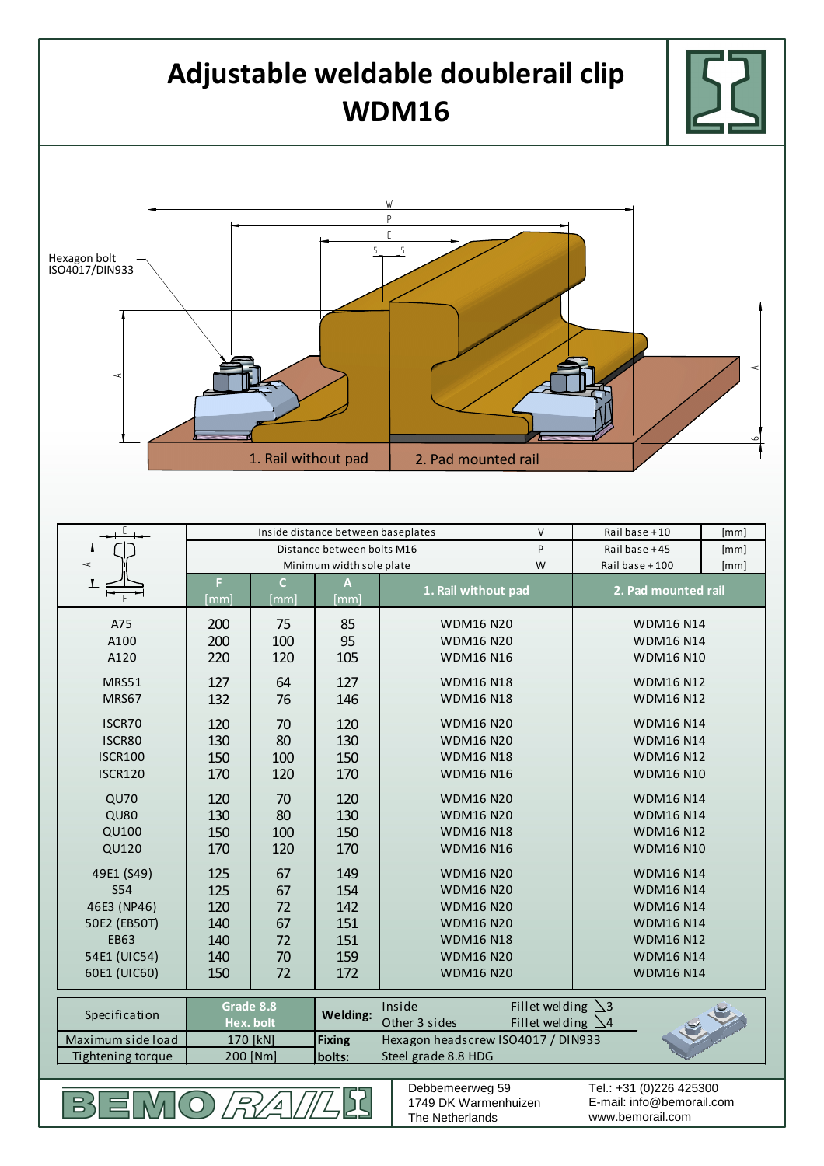